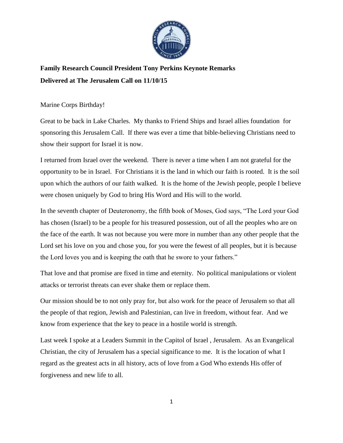

## **Family Research Council President Tony Perkins Keynote Remarks Delivered at The Jerusalem Call on 11/10/15**

## Marine Corps Birthday!

Great to be back in Lake Charles. My thanks to Friend Ships and Israel allies foundation for sponsoring this Jerusalem Call. If there was ever a time that bible-believing Christians need to show their support for Israel it is now.

I returned from Israel over the weekend. There is never a time when I am not grateful for the opportunity to be in Israel. For Christians it is the land in which our faith is rooted. It is the soil upon which the authors of our faith walked. It is the home of the Jewish people, people I believe were chosen uniquely by God to bring His Word and His will to the world.

In the seventh chapter of Deuteronomy, the fifth book of Moses, God says, "The Lord your God has chosen (Israel) to be a people for his treasured possession, out of all the peoples who are on the face of the earth. It was not because you were more in number than any other people that the Lord set his love on you and chose you, for you were the fewest of all peoples, but it is because the Lord loves you and is keeping the oath that he swore to your fathers."

That love and that promise are fixed in time and eternity. No political manipulations or violent attacks or terrorist threats can ever shake them or replace them.

Our mission should be to not only pray for, but also work for the peace of Jerusalem so that all the people of that region, Jewish and Palestinian, can live in freedom, without fear. And we know from experience that the key to peace in a hostile world is strength.

Last week I spoke at a Leaders Summit in the Capitol of Israel , Jerusalem. As an Evangelical Christian, the city of Jerusalem has a special significance to me. It is the location of what I regard as the greatest acts in all history, acts of love from a God Who extends His offer of forgiveness and new life to all.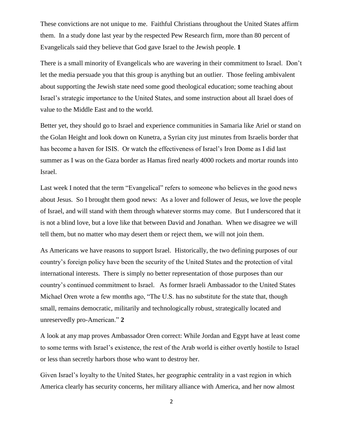These convictions are not unique to me. Faithful Christians throughout the United States affirm them. In a study done last year by the respected Pew Research firm, more than 80 percent of Evangelicals said they believe that God gave Israel to the Jewish people. **1**

There is a small minority of Evangelicals who are wavering in their commitment to Israel. Don't let the media persuade you that this group is anything but an outlier. Those feeling ambivalent about supporting the Jewish state need some good theological education; some teaching about Israel's strategic importance to the United States, and some instruction about all Israel does of value to the Middle East and to the world.

Better yet, they should go to Israel and experience communities in Samaria like Ariel or stand on the Golan Height and look down on Kunetra, a Syrian city just minutes from Israelis border that has become a haven for ISIS. Or watch the effectiveness of Israel's Iron Dome as I did last summer as I was on the Gaza border as Hamas fired nearly 4000 rockets and mortar rounds into Israel.

Last week I noted that the term "Evangelical" refers to someone who believes in the good news about Jesus. So I brought them good news: As a lover and follower of Jesus, we love the people of Israel, and will stand with them through whatever storms may come. But I underscored that it is not a blind love, but a love like that between David and Jonathan. When we disagree we will tell them, but no matter who may desert them or reject them, we will not join them.

As Americans we have reasons to support Israel. Historically, the two defining purposes of our country's foreign policy have been the security of the United States and the protection of vital international interests. There is simply no better representation of those purposes than our country's continued commitment to Israel. As former Israeli Ambassador to the United States Michael Oren wrote a few months ago, "The U.S. has no substitute for the state that, though small, remains democratic, militarily and technologically robust, strategically located and unreservedly pro-American." **2**

A look at any map proves Ambassador Oren correct: While Jordan and Egypt have at least come to some terms with Israel's existence, the rest of the Arab world is either overtly hostile to Israel or less than secretly harbors those who want to destroy her.

Given Israel's loyalty to the United States, her geographic centrality in a vast region in which America clearly has security concerns, her military alliance with America, and her now almost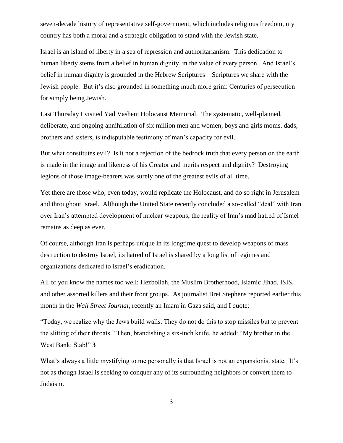seven-decade history of representative self-government, which includes religious freedom, my country has both a moral and a strategic obligation to stand with the Jewish state.

Israel is an island of liberty in a sea of repression and authoritarianism. This dedication to human liberty stems from a belief in human dignity, in the value of every person. And Israel's belief in human dignity is grounded in the Hebrew Scriptures – Scriptures we share with the Jewish people. But it's also grounded in something much more grim: Centuries of persecution for simply being Jewish.

Last Thursday I visited Yad Vashem Holocaust Memorial. The systematic, well-planned, deliberate, and ongoing annihilation of six million men and women, boys and girls moms, dads, brothers and sisters, is indisputable testimony of man's capacity for evil.

But what constitutes evil? Is it not a rejection of the bedrock truth that every person on the earth is made in the image and likeness of his Creator and merits respect and dignity? Destroying legions of those image-bearers was surely one of the greatest evils of all time.

Yet there are those who, even today, would replicate the Holocaust, and do so right in Jerusalem and throughout Israel. Although the United State recently concluded a so-called "deal" with Iran over Iran's attempted development of nuclear weapons, the reality of Iran's mad hatred of Israel remains as deep as ever.

Of course, although Iran is perhaps unique in its longtime quest to develop weapons of mass destruction to destroy Israel, its hatred of Israel is shared by a long list of regimes and organizations dedicated to Israel's eradication.

All of you know the names too well: Hezbollah, the Muslim Brotherhood, Islamic Jihad, ISIS, and other assorted killers and their front groups. As journalist Bret Stephens reported earlier this month in the *Wall Street Journal*, recently an Imam in Gaza said, and I quote:

"Today, we realize why the Jews build walls. They do not do this to stop missiles but to prevent the slitting of their throats." Then, brandishing a six-inch knife, he added: "My brother in the West Bank: Stab!" **3**

What's always a little mystifying to me personally is that Israel is not an expansionist state. It's not as though Israel is seeking to conquer any of its surrounding neighbors or convert them to Judaism.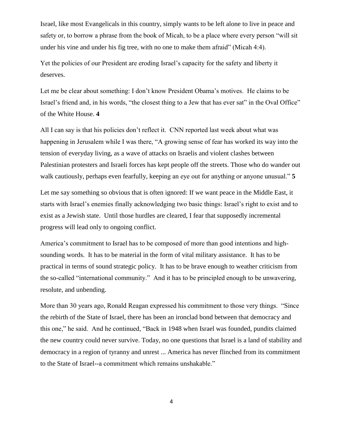Israel, like most Evangelicals in this country, simply wants to be left alone to live in peace and safety or, to borrow a phrase from the book of Micah, to be a place where every person "will sit under his vine and under his fig tree, with no one to make them afraid" (Micah 4:4).

Yet the policies of our President are eroding Israel's capacity for the safety and liberty it deserves.

Let me be clear about something: I don't know President Obama's motives. He claims to be Israel's friend and, in his words, "the closest thing to a Jew that has ever sat" in the Oval Office" of the White House. **4**

All I can say is that his policies don't reflect it. CNN reported last week about what was happening in Jerusalem while I was there, "A growing sense of fear has worked its way into the tension of everyday living, as a wave of attacks on Israelis and violent clashes between Palestinian protesters and Israeli forces has kept people off the streets. Those who do wander out walk cautiously, perhaps even fearfully, keeping an eye out for anything or anyone unusual." **5**

Let me say something so obvious that is often ignored: If we want peace in the Middle East, it starts with Israel's enemies finally acknowledging two basic things: Israel's right to exist and to exist as a Jewish state. Until those hurdles are cleared, I fear that supposedly incremental progress will lead only to ongoing conflict.

America's commitment to Israel has to be composed of more than good intentions and highsounding words. It has to be material in the form of vital military assistance. It has to be practical in terms of sound strategic policy. It has to be brave enough to weather criticism from the so-called "international community." And it has to be principled enough to be unwavering, resolute, and unbending.

More than 30 years ago, Ronald Reagan expressed his commitment to those very things. "Since the rebirth of the State of Israel, there has been an ironclad bond between that democracy and this one," he said. And he continued, "Back in 1948 when Israel was founded, pundits claimed the new country could never survive. Today, no one questions that Israel is a land of stability and democracy in a region of tyranny and unrest ... America has never flinched from its commitment to the State of Israel--a commitment which remains unshakable."